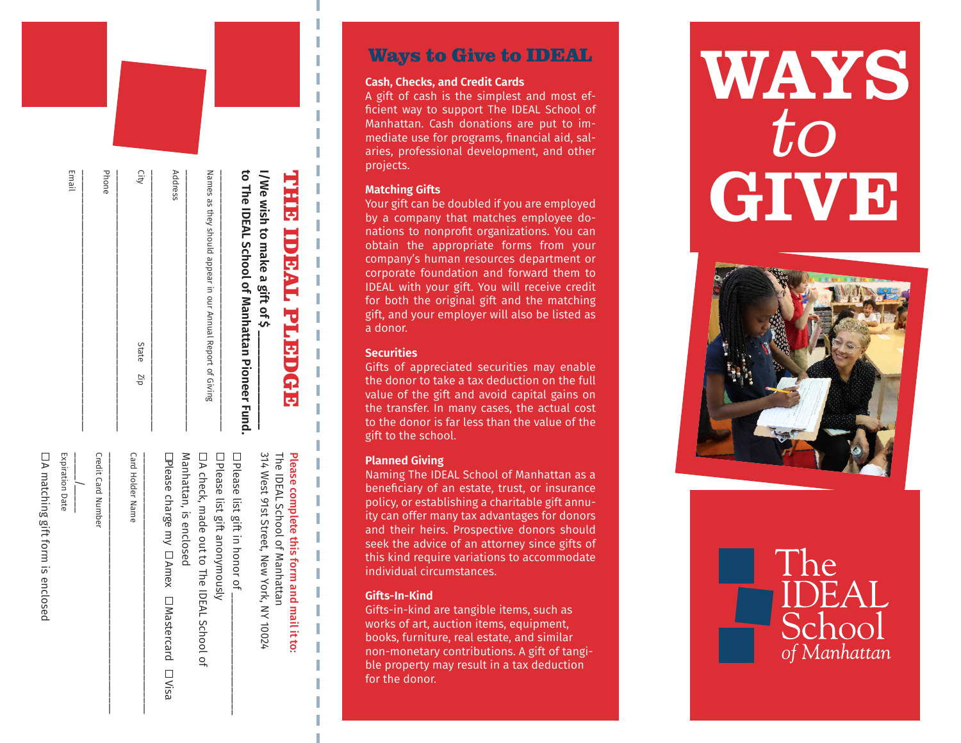| <b>THE IDEAL PLEDGE</b><br>i/We wish to make a gift of \$  | 314 West 91st Street, New York, NY 10024<br>Please complete this form and mail it to:<br>The IDEAL School of Manhattan |
|------------------------------------------------------------|------------------------------------------------------------------------------------------------------------------------|
| to The IDEAL School of Manhattan Pioneer Fund              | $\square$ Please list gift in honor of $\square$                                                                       |
| Names as they should appear in our Annual Report of Giving | □ A check, made out to The IDEAL School of<br>□ Please list gift anonymously                                           |
| Address                                                    | Manhattan, is enclosed<br>$\Box$ Please charge my $\Box$ Amex $\Box$ Mastercard $\Box$ Visa                            |
| City<br>State Zip                                          | <b>Card Holder Name</b>                                                                                                |
| Phone                                                      | <b>Credit Card Number</b>                                                                                              |
| Email                                                      | <b>Expiration Date</b>                                                                                                 |
|                                                            | $\Box$ A matching gift form is enclosed                                                                                |

 $\Xi$  |

 $\exists$  |

 $E =$ 

 $\frac{1}{2}$ 

 $\frac{1}{a}$ 

## Ways to Give to IDEAL

#### **Cash, Checks, and Credit Cards**

A gift of cash is the simplest and most efficient way to support The IDEAL School of Manhattan. Cash donations are put to im mediate use for programs, financial aid, sal aries, professional development, and other projects.

#### **Matching Gifts**

Your gift can be doubled if you are employed by a company that matches employee do nations to nonprofit organizations. You can obtain the appropriate forms from your company's human resources department or corporate foundation and forward them to IDEAL with your gift. You will receive credit for both the original gift and the matching gift, and your employer will also be listed as a donor.

### **Securities**

Gifts of appreciated securities may enable the donor to take a tax deduction on the full value of the gift and avoid capital gains on the transfer. In many cases, the actual cost to the donor is far less than the value of the gift to the school.

## **Planned Giving**

Naming The IDEAL School of Manhattan as a beneficiary of an estate, trust, or insurance policy, or establishing a charitable gift annu ity can offer many tax advantages for donors and their heirs. Prospective donors should seek the advice of an attorney since gifts of this kind require variations to accommodate individual circumstances.

### **Gifts-In-Kind**

Gifts-in-kind are tangible items, such as works of art, auction items, equipment, books, furniture, real estate, and similar non-monetary contributions. A gift of tangi ble property may result in a tax deduction for the donor.

# WAYS to **GIVE**



The

of Manhattan